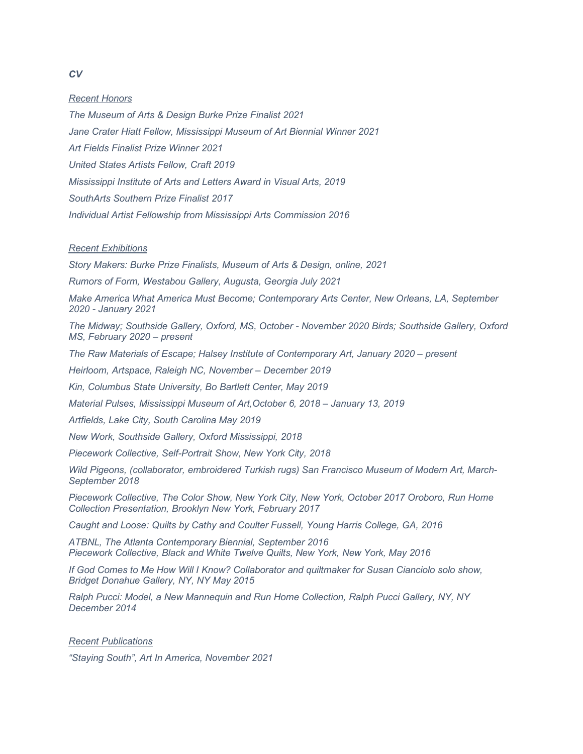## *Recent Honors*

*The Museum of Arts & Design Burke Prize Finalist 2021 Jane Crater Hiatt Fellow, Mississippi Museum of Art Biennial Winner 2021 Art Fields Finalist Prize Winner 2021 United States Artists Fellow, Craft 2019 Mississippi Institute of Arts and Letters Award in Visual Arts, 2019 SouthArts Southern Prize Finalist 2017 Individual Artist Fellowship from Mississippi Arts Commission 2016* 

## *Recent Exhibitions*

*Story Makers: Burke Prize Finalists, Museum of Arts & Design, online, 2021*

*Rumors of Form, Westabou Gallery, Augusta, Georgia July 2021* 

*Make America What America Must Become; Contemporary Arts Center, New Orleans, LA, September 2020 - January 2021* 

*The Midway; Southside Gallery, Oxford, MS, October - November 2020 Birds; Southside Gallery, Oxford MS, February 2020 – present* 

*The Raw Materials of Escape; Halsey Institute of Contemporary Art, January 2020 – present* 

*Heirloom, Artspace, Raleigh NC, November – December 2019* 

*Kin, Columbus State University, Bo Bartlett Center, May 2019* 

*Material Pulses, Mississippi Museum of Art,October 6, 2018 – January 13, 2019* 

*Artfields, Lake City, South Carolina May 2019* 

*New Work, Southside Gallery, Oxford Mississippi, 2018* 

*Piecework Collective, Self-Portrait Show, New York City, 2018* 

*Wild Pigeons, (collaborator, embroidered Turkish rugs) San Francisco Museum of Modern Art, March-September 2018* 

*Piecework Collective, The Color Show, New York City, New York, October 2017 Oroboro, Run Home Collection Presentation, Brooklyn New York, February 2017* 

*Caught and Loose: Quilts by Cathy and Coulter Fussell, Young Harris College, GA, 2016* 

*ATBNL, The Atlanta Contemporary Biennial, September 2016 Piecework Collective, Black and White Twelve Quilts, New York, New York, May 2016* 

*If God Comes to Me How Will I Know? Collaborator and quiltmaker for Susan Cianciolo solo show, Bridget Donahue Gallery, NY, NY May 2015* 

*Ralph Pucci: Model, a New Mannequin and Run Home Collection, Ralph Pucci Gallery, NY, NY December 2014* 

## *Recent Publications*

*"Staying South", Art In America, November 2021*

*CV*